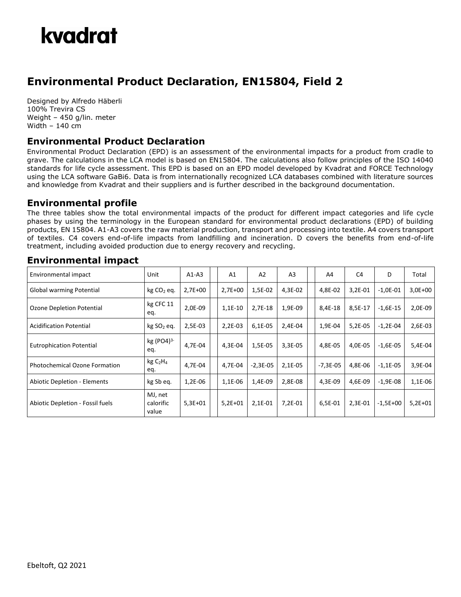

## **Environmental Product Declaration, EN15804, Field 2**

Designed by Alfredo Häberli 100% Trevira CS Weight – 450 g/lin. meter Width – 140 cm

#### **Environmental Product Declaration**

Environmental Product Declaration (EPD) is an assessment of the environmental impacts for a product from cradle to grave. The calculations in the LCA model is based on EN15804. The calculations also follow principles of the ISO 14040 standards for life cycle assessment. This EPD is based on an EPD model developed by Kvadrat and FORCE Technology using the LCA software GaBi6. Data is from internationally recognized LCA databases combined with literature sources and knowledge from Kvadrat and their suppliers and is further described in the background documentation.

### **Environmental profile**

The three tables show the total environmental impacts of the product for different impact categories and life cycle phases by using the terminology in the European standard for environmental product declarations (EPD) of building products, EN 15804. A1-A3 covers the raw material production, transport and processing into textile. A4 covers transport of textiles. C4 covers end-of-life impacts from landfilling and incineration. D covers the benefits from end-of-life treatment, including avoided production due to energy recovery and recycling.

| Environmental impact                 | Unit                                    | $A1-A3$   | A <sub>1</sub> | A <sub>2</sub> | A <sub>3</sub> | A4         | C <sub>4</sub> | D          | Total     |
|--------------------------------------|-----------------------------------------|-----------|----------------|----------------|----------------|------------|----------------|------------|-----------|
| Global warming Potential             | $kg CO2$ eq.                            | $2,7E+00$ | $2,7E+00$      | 1,5E-02        | 4,3E-02        | 4,8E-02    | 3,2E-01        | $-1,0E-01$ | $3,0E+00$ |
| Ozone Depletion Potential            | kg CFC 11<br>eq.                        | 2,0E-09   | $1,1E-10$      | $2,7E-18$      | 1,9E-09        | 8,4E-18    | 8,5E-17        | $-1,6E-15$ | 2,0E-09   |
| <b>Acidification Potential</b>       | kg SO <sub>2</sub> eq.                  | 2,5E-03   | 2,2E-03        | 6,1E-05        | 2,4E-04        | 1,9E-04    | 5,2E-05        | $-1,2E-04$ | 2,6E-03   |
| <b>Eutrophication Potential</b>      | $kg (PO4)^{3-}$<br>eq.                  | 4,7E-04   | 4,3E-04        | 1,5E-05        | 3,3E-05        | 4,8E-05    | 4,0E-05        | $-1,6E-05$ | 5,4E-04   |
| <b>Photochemical Ozone Formation</b> | kg C <sub>2</sub> H <sub>4</sub><br>eq. | 4.7E-04   | 4.7E-04        | $-2,3E-05$     | 2,1E-05        | $-7,3E-05$ | 4,8E-06        | $-1,1E-05$ | 3,9E-04   |
| <b>Abiotic Depletion - Elements</b>  | kg Sb eq.                               | 1,2E-06   | 1,1E-06        | 1,4E-09        | 2,8E-08        | 4,3E-09    | 4.6E-09        | $-1,9E-08$ | 1,1E-06   |
| Abiotic Depletion - Fossil fuels     | MJ, net<br>calorific<br>value           | $5,3E+01$ | $5,2E+01$      | 2,1E-01        | 7,2E-01        | 6,5E-01    | 2,3E-01        | $-1,5E+00$ | $5,2E+01$ |

#### **Environmental impact**